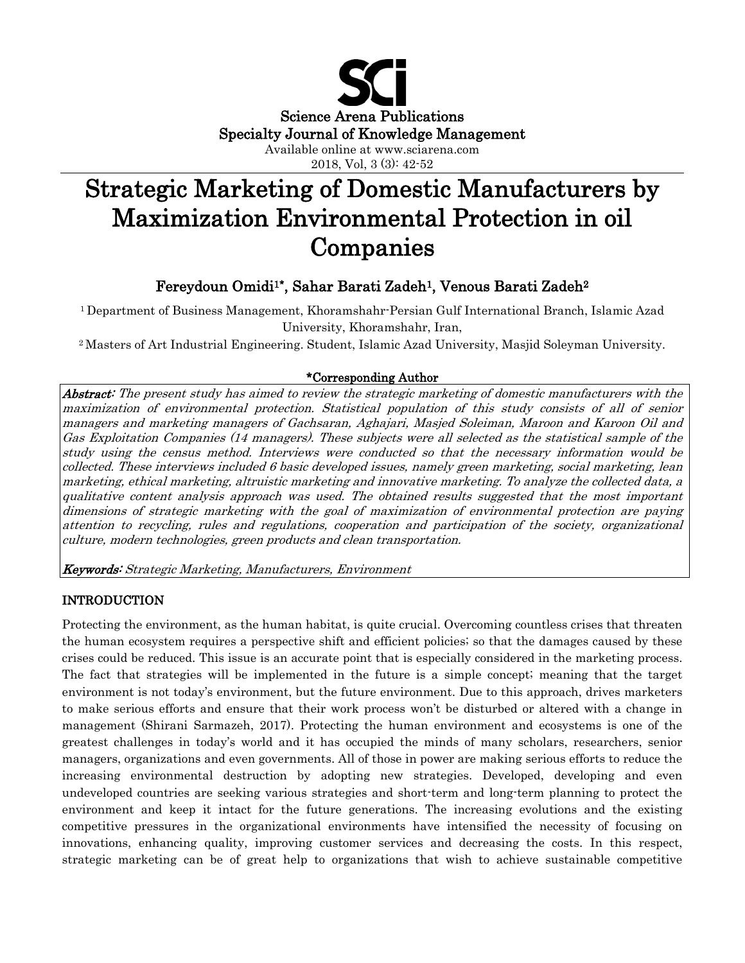

2018, Vol, 3 (3): 42-52

# Strategic Marketing of Domestic Manufacturers by Maximization Environmental Protection in oil Companies

## Fereydoun Omidi<sup>1\*</sup>, Sahar Barati Zadeh<sup>1</sup>, Venous Barati Zadeh<sup>2</sup>

1 Department of Business Management, Khoramshahr-Persian Gulf International Branch, Islamic Azad University, Khoramshahr, Iran,

2 Masters of Art Industrial Engineering. Student, Islamic Azad University, Masjid Soleyman University.

## \*Corresponding Author

Abstract: The present study has aimed to review the strategic marketing of domestic manufacturers with the maximization of environmental protection. Statistical population of this study consists of all of senior managers and marketing managers of Gachsaran, Aghajari, Masjed Soleiman, Maroon and Karoon Oil and Gas Exploitation Companies (14 managers). These subjects were all selected as the statistical sample of the study using the census method. Interviews were conducted so that the necessary information would be collected. These interviews included 6 basic developed issues, namely green marketing, social marketing, lean marketing, ethical marketing, altruistic marketing and innovative marketing. To analyze the collected data, a qualitative content analysis approach was used. The obtained results suggested that the most important dimensions of strategic marketing with the goal of maximization of environmental protection are paying attention to recycling, rules and regulations, cooperation and participation of the society, organizational culture, modern technologies, green products and clean transportation.

Keywords: Strategic Marketing, Manufacturers, Environment

## INTRODUCTION

Protecting the environment, as the human habitat, is quite crucial. Overcoming countless crises that threaten the human ecosystem requires a perspective shift and efficient policies; so that the damages caused by these crises could be reduced. This issue is an accurate point that is especially considered in the marketing process. The fact that strategies will be implemented in the future is a simple concept; meaning that the target environment is not today's environment, but the future environment. Due to this approach, drives marketers to make serious efforts and ensure that their work process won't be disturbed or altered with a change in management (Shirani Sarmazeh, 2017). Protecting the human environment and ecosystems is one of the greatest challenges in today's world and it has occupied the minds of many scholars, researchers, senior managers, organizations and even governments. All of those in power are making serious efforts to reduce the increasing environmental destruction by adopting new strategies. Developed, developing and even undeveloped countries are seeking various strategies and short-term and long-term planning to protect the environment and keep it intact for the future generations. The increasing evolutions and the existing competitive pressures in the organizational environments have intensified the necessity of focusing on innovations, enhancing quality, improving customer services and decreasing the costs. In this respect, strategic marketing can be of great help to organizations that wish to achieve sustainable competitive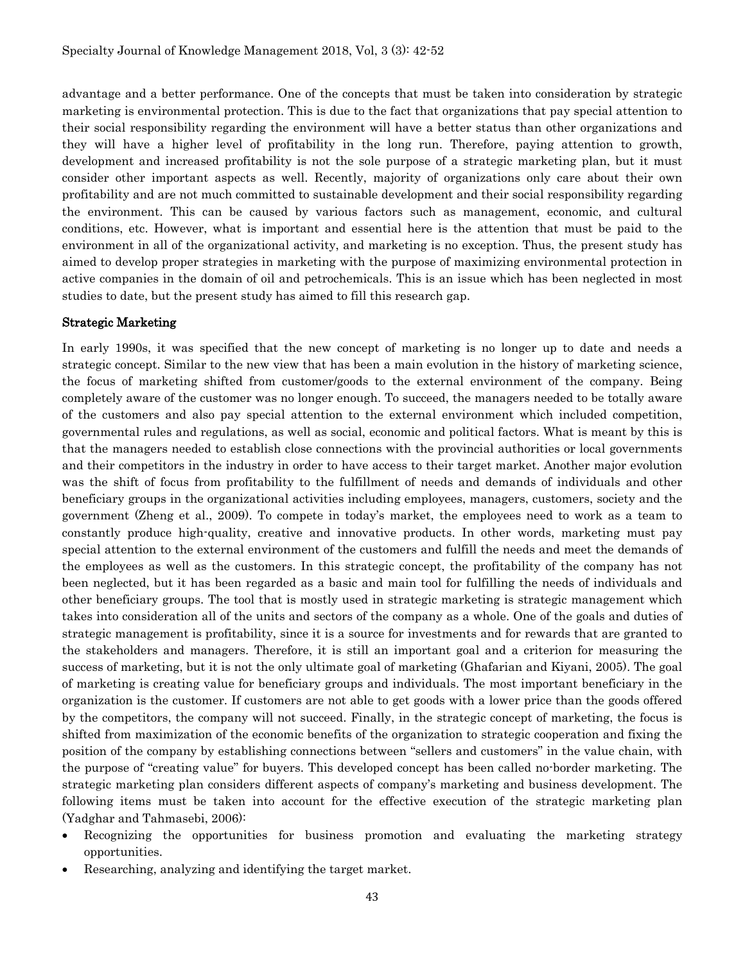advantage and a better performance. One of the concepts that must be taken into consideration by strategic marketing is environmental protection. This is due to the fact that organizations that pay special attention to their social responsibility regarding the environment will have a better status than other organizations and they will have a higher level of profitability in the long run. Therefore, paying attention to growth, development and increased profitability is not the sole purpose of a strategic marketing plan, but it must consider other important aspects as well. Recently, majority of organizations only care about their own profitability and are not much committed to sustainable development and their social responsibility regarding the environment. This can be caused by various factors such as management, economic, and cultural conditions, etc. However, what is important and essential here is the attention that must be paid to the environment in all of the organizational activity, and marketing is no exception. Thus, the present study has aimed to develop proper strategies in marketing with the purpose of maximizing environmental protection in active companies in the domain of oil and petrochemicals. This is an issue which has been neglected in most studies to date, but the present study has aimed to fill this research gap.

#### Strategic Marketing

In early 1990s, it was specified that the new concept of marketing is no longer up to date and needs a strategic concept. Similar to the new view that has been a main evolution in the history of marketing science, the focus of marketing shifted from customer/goods to the external environment of the company. Being completely aware of the customer was no longer enough. To succeed, the managers needed to be totally aware of the customers and also pay special attention to the external environment which included competition, governmental rules and regulations, as well as social, economic and political factors. What is meant by this is that the managers needed to establish close connections with the provincial authorities or local governments and their competitors in the industry in order to have access to their target market. Another major evolution was the shift of focus from profitability to the fulfillment of needs and demands of individuals and other beneficiary groups in the organizational activities including employees, managers, customers, society and the government (Zheng et al., 2009). To compete in today's market, the employees need to work as a team to constantly produce high-quality, creative and innovative products. In other words, marketing must pay special attention to the external environment of the customers and fulfill the needs and meet the demands of the employees as well as the customers. In this strategic concept, the profitability of the company has not been neglected, but it has been regarded as a basic and main tool for fulfilling the needs of individuals and other beneficiary groups. The tool that is mostly used in strategic marketing is strategic management which takes into consideration all of the units and sectors of the company as a whole. One of the goals and duties of strategic management is profitability, since it is a source for investments and for rewards that are granted to the stakeholders and managers. Therefore, it is still an important goal and a criterion for measuring the success of marketing, but it is not the only ultimate goal of marketing (Ghafarian and Kiyani, 2005). The goal of marketing is creating value for beneficiary groups and individuals. The most important beneficiary in the organization is the customer. If customers are not able to get goods with a lower price than the goods offered by the competitors, the company will not succeed. Finally, in the strategic concept of marketing, the focus is shifted from maximization of the economic benefits of the organization to strategic cooperation and fixing the position of the company by establishing connections between "sellers and customers" in the value chain, with the purpose of "creating value" for buyers. This developed concept has been called no-border marketing. The strategic marketing plan considers different aspects of company's marketing and business development. The following items must be taken into account for the effective execution of the strategic marketing plan (Yadghar and Tahmasebi, 2006):

- Recognizing the opportunities for business promotion and evaluating the marketing strategy opportunities.
- Researching, analyzing and identifying the target market.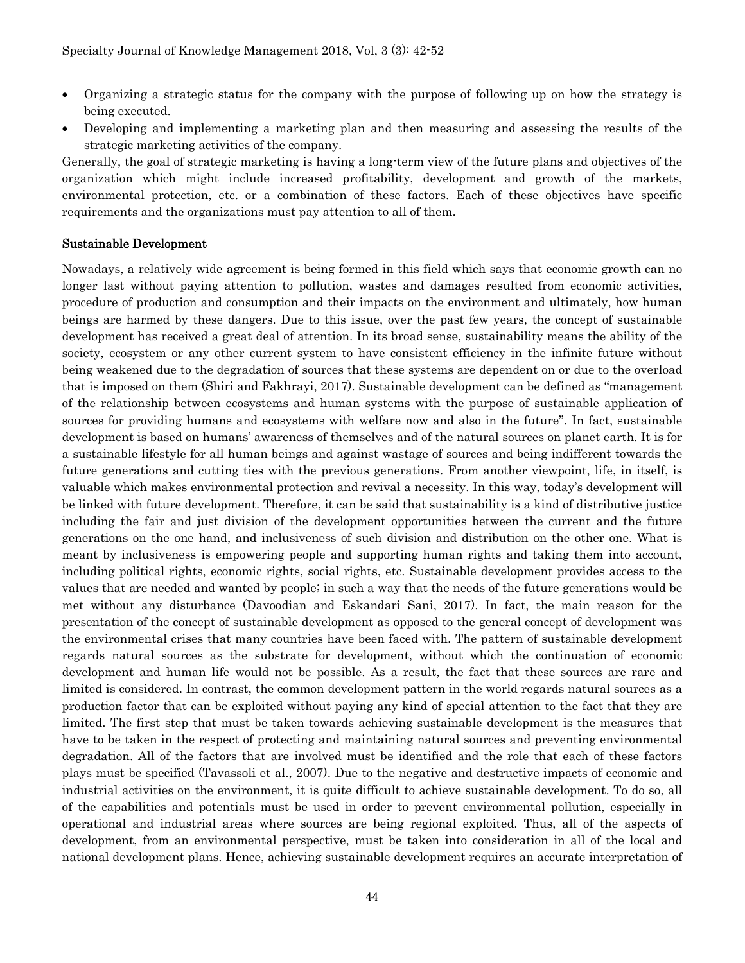- Organizing a strategic status for the company with the purpose of following up on how the strategy is being executed.
- Developing and implementing a marketing plan and then measuring and assessing the results of the strategic marketing activities of the company.

Generally, the goal of strategic marketing is having a long-term view of the future plans and objectives of the organization which might include increased profitability, development and growth of the markets, environmental protection, etc. or a combination of these factors. Each of these objectives have specific requirements and the organizations must pay attention to all of them.

#### Sustainable Development

Nowadays, a relatively wide agreement is being formed in this field which says that economic growth can no longer last without paying attention to pollution, wastes and damages resulted from economic activities, procedure of production and consumption and their impacts on the environment and ultimately, how human beings are harmed by these dangers. Due to this issue, over the past few years, the concept of sustainable development has received a great deal of attention. In its broad sense, sustainability means the ability of the society, ecosystem or any other current system to have consistent efficiency in the infinite future without being weakened due to the degradation of sources that these systems are dependent on or due to the overload that is imposed on them (Shiri and Fakhrayi, 2017). Sustainable development can be defined as "management of the relationship between ecosystems and human systems with the purpose of sustainable application of sources for providing humans and ecosystems with welfare now and also in the future". In fact, sustainable development is based on humans' awareness of themselves and of the natural sources on planet earth. It is for a sustainable lifestyle for all human beings and against wastage of sources and being indifferent towards the future generations and cutting ties with the previous generations. From another viewpoint, life, in itself, is valuable which makes environmental protection and revival a necessity. In this way, today's development will be linked with future development. Therefore, it can be said that sustainability is a kind of distributive justice including the fair and just division of the development opportunities between the current and the future generations on the one hand, and inclusiveness of such division and distribution on the other one. What is meant by inclusiveness is empowering people and supporting human rights and taking them into account, including political rights, economic rights, social rights, etc. Sustainable development provides access to the values that are needed and wanted by people; in such a way that the needs of the future generations would be met without any disturbance (Davoodian and Eskandari Sani, 2017). In fact, the main reason for the presentation of the concept of sustainable development as opposed to the general concept of development was the environmental crises that many countries have been faced with. The pattern of sustainable development regards natural sources as the substrate for development, without which the continuation of economic development and human life would not be possible. As a result, the fact that these sources are rare and limited is considered. In contrast, the common development pattern in the world regards natural sources as a production factor that can be exploited without paying any kind of special attention to the fact that they are limited. The first step that must be taken towards achieving sustainable development is the measures that have to be taken in the respect of protecting and maintaining natural sources and preventing environmental degradation. All of the factors that are involved must be identified and the role that each of these factors plays must be specified (Tavassoli et al., 2007). Due to the negative and destructive impacts of economic and industrial activities on the environment, it is quite difficult to achieve sustainable development. To do so, all of the capabilities and potentials must be used in order to prevent environmental pollution, especially in operational and industrial areas where sources are being regional exploited. Thus, all of the aspects of development, from an environmental perspective, must be taken into consideration in all of the local and national development plans. Hence, achieving sustainable development requires an accurate interpretation of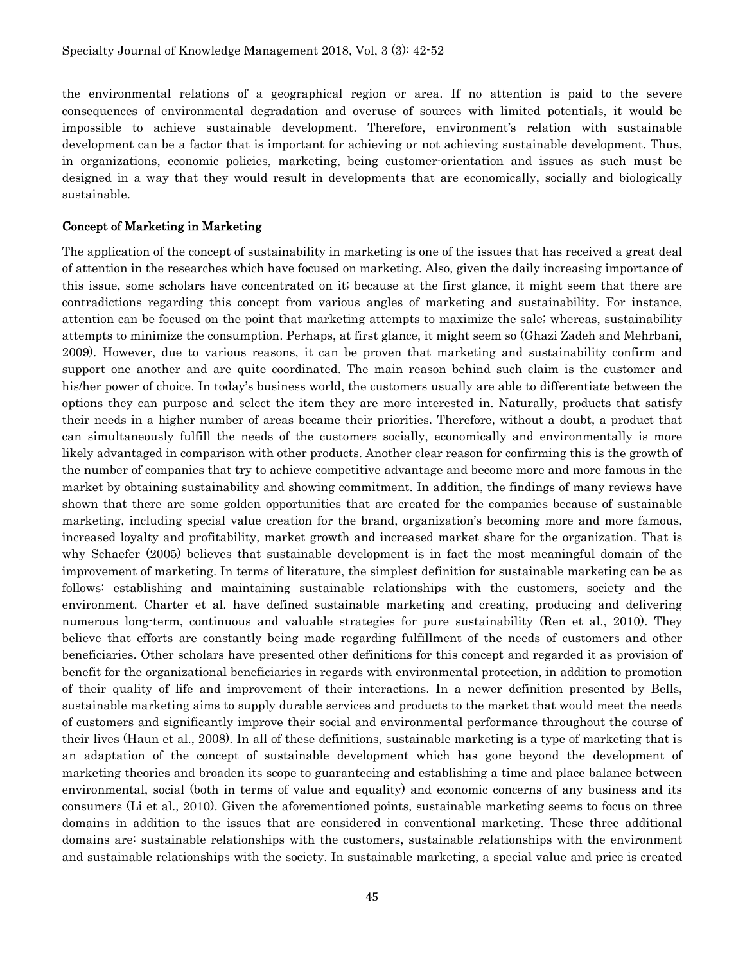the environmental relations of a geographical region or area. If no attention is paid to the severe consequences of environmental degradation and overuse of sources with limited potentials, it would be impossible to achieve sustainable development. Therefore, environment's relation with sustainable development can be a factor that is important for achieving or not achieving sustainable development. Thus, in organizations, economic policies, marketing, being customer-orientation and issues as such must be designed in a way that they would result in developments that are economically, socially and biologically sustainable.

#### Concept of Marketing in Marketing

The application of the concept of sustainability in marketing is one of the issues that has received a great deal of attention in the researches which have focused on marketing. Also, given the daily increasing importance of this issue, some scholars have concentrated on it; because at the first glance, it might seem that there are contradictions regarding this concept from various angles of marketing and sustainability. For instance, attention can be focused on the point that marketing attempts to maximize the sale; whereas, sustainability attempts to minimize the consumption. Perhaps, at first glance, it might seem so (Ghazi Zadeh and Mehrbani, 2009). However, due to various reasons, it can be proven that marketing and sustainability confirm and support one another and are quite coordinated. The main reason behind such claim is the customer and his/her power of choice. In today's business world, the customers usually are able to differentiate between the options they can purpose and select the item they are more interested in. Naturally, products that satisfy their needs in a higher number of areas became their priorities. Therefore, without a doubt, a product that can simultaneously fulfill the needs of the customers socially, economically and environmentally is more likely advantaged in comparison with other products. Another clear reason for confirming this is the growth of the number of companies that try to achieve competitive advantage and become more and more famous in the market by obtaining sustainability and showing commitment. In addition, the findings of many reviews have shown that there are some golden opportunities that are created for the companies because of sustainable marketing, including special value creation for the brand, organization's becoming more and more famous, increased loyalty and profitability, market growth and increased market share for the organization. That is why Schaefer (2005) believes that sustainable development is in fact the most meaningful domain of the improvement of marketing. In terms of literature, the simplest definition for sustainable marketing can be as follows: establishing and maintaining sustainable relationships with the customers, society and the environment. Charter et al. have defined sustainable marketing and creating, producing and delivering numerous long-term, continuous and valuable strategies for pure sustainability (Ren et al., 2010). They believe that efforts are constantly being made regarding fulfillment of the needs of customers and other beneficiaries. Other scholars have presented other definitions for this concept and regarded it as provision of benefit for the organizational beneficiaries in regards with environmental protection, in addition to promotion of their quality of life and improvement of their interactions. In a newer definition presented by Bells, sustainable marketing aims to supply durable services and products to the market that would meet the needs of customers and significantly improve their social and environmental performance throughout the course of their lives (Haun et al., 2008). In all of these definitions, sustainable marketing is a type of marketing that is an adaptation of the concept of sustainable development which has gone beyond the development of marketing theories and broaden its scope to guaranteeing and establishing a time and place balance between environmental, social (both in terms of value and equality) and economic concerns of any business and its consumers (Li et al., 2010). Given the aforementioned points, sustainable marketing seems to focus on three domains in addition to the issues that are considered in conventional marketing. These three additional domains are: sustainable relationships with the customers, sustainable relationships with the environment and sustainable relationships with the society. In sustainable marketing, a special value and price is created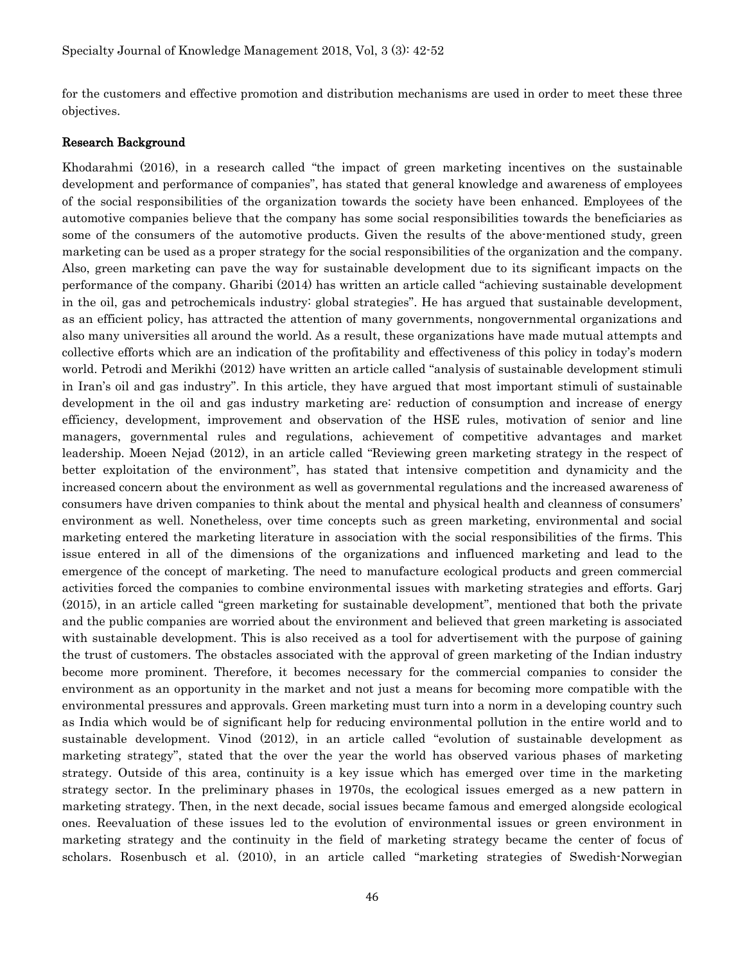for the customers and effective promotion and distribution mechanisms are used in order to meet these three objectives.

#### Research Background

Khodarahmi (2016), in a research called "the impact of green marketing incentives on the sustainable development and performance of companies", has stated that general knowledge and awareness of employees of the social responsibilities of the organization towards the society have been enhanced. Employees of the automotive companies believe that the company has some social responsibilities towards the beneficiaries as some of the consumers of the automotive products. Given the results of the above-mentioned study, green marketing can be used as a proper strategy for the social responsibilities of the organization and the company. Also, green marketing can pave the way for sustainable development due to its significant impacts on the performance of the company. Gharibi (2014) has written an article called "achieving sustainable development in the oil, gas and petrochemicals industry: global strategies". He has argued that sustainable development, as an efficient policy, has attracted the attention of many governments, nongovernmental organizations and also many universities all around the world. As a result, these organizations have made mutual attempts and collective efforts which are an indication of the profitability and effectiveness of this policy in today's modern world. Petrodi and Merikhi (2012) have written an article called "analysis of sustainable development stimuli in Iran's oil and gas industry". In this article, they have argued that most important stimuli of sustainable development in the oil and gas industry marketing are: reduction of consumption and increase of energy efficiency, development, improvement and observation of the HSE rules, motivation of senior and line managers, governmental rules and regulations, achievement of competitive advantages and market leadership. Moeen Nejad (2012), in an article called "Reviewing green marketing strategy in the respect of better exploitation of the environment", has stated that intensive competition and dynamicity and the increased concern about the environment as well as governmental regulations and the increased awareness of consumers have driven companies to think about the mental and physical health and cleanness of consumers' environment as well. Nonetheless, over time concepts such as green marketing, environmental and social marketing entered the marketing literature in association with the social responsibilities of the firms. This issue entered in all of the dimensions of the organizations and influenced marketing and lead to the emergence of the concept of marketing. The need to manufacture ecological products and green commercial activities forced the companies to combine environmental issues with marketing strategies and efforts. Garj (2015), in an article called "green marketing for sustainable development", mentioned that both the private and the public companies are worried about the environment and believed that green marketing is associated with sustainable development. This is also received as a tool for advertisement with the purpose of gaining the trust of customers. The obstacles associated with the approval of green marketing of the Indian industry become more prominent. Therefore, it becomes necessary for the commercial companies to consider the environment as an opportunity in the market and not just a means for becoming more compatible with the environmental pressures and approvals. Green marketing must turn into a norm in a developing country such as India which would be of significant help for reducing environmental pollution in the entire world and to sustainable development. Vinod (2012), in an article called "evolution of sustainable development as marketing strategy", stated that the over the year the world has observed various phases of marketing strategy. Outside of this area, continuity is a key issue which has emerged over time in the marketing strategy sector. In the preliminary phases in 1970s, the ecological issues emerged as a new pattern in marketing strategy. Then, in the next decade, social issues became famous and emerged alongside ecological ones. Reevaluation of these issues led to the evolution of environmental issues or green environment in marketing strategy and the continuity in the field of marketing strategy became the center of focus of scholars. Rosenbusch et al. (2010), in an article called "marketing strategies of Swedish-Norwegian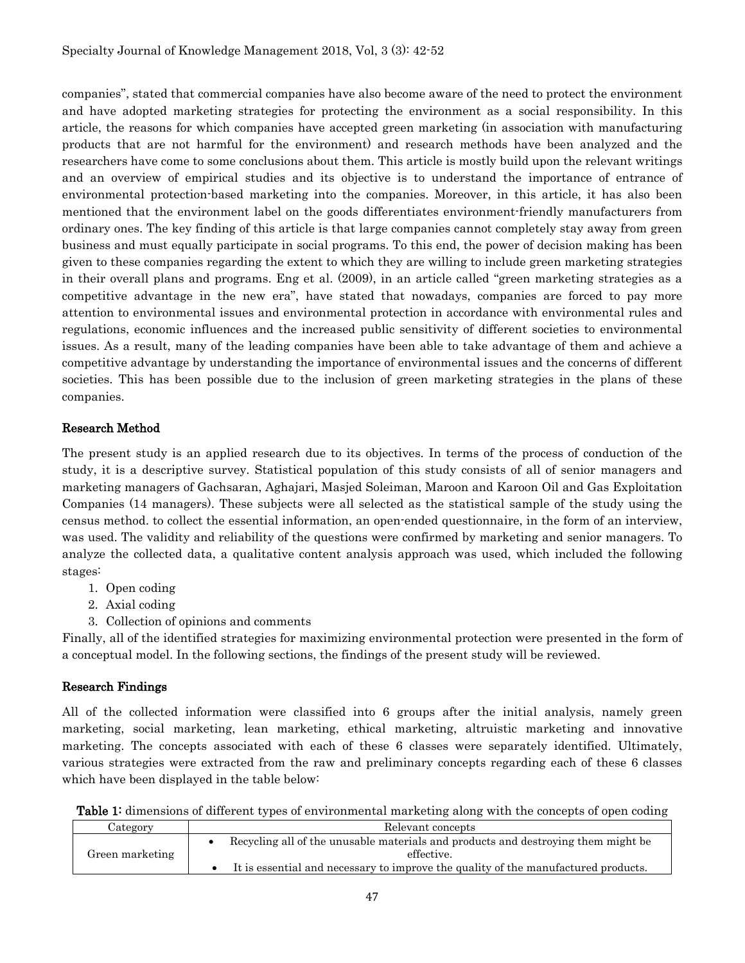companies", stated that commercial companies have also become aware of the need to protect the environment and have adopted marketing strategies for protecting the environment as a social responsibility. In this article, the reasons for which companies have accepted green marketing (in association with manufacturing products that are not harmful for the environment) and research methods have been analyzed and the researchers have come to some conclusions about them. This article is mostly build upon the relevant writings and an overview of empirical studies and its objective is to understand the importance of entrance of environmental protection-based marketing into the companies. Moreover, in this article, it has also been mentioned that the environment label on the goods differentiates environment-friendly manufacturers from ordinary ones. The key finding of this article is that large companies cannot completely stay away from green business and must equally participate in social programs. To this end, the power of decision making has been given to these companies regarding the extent to which they are willing to include green marketing strategies in their overall plans and programs. Eng et al. (2009), in an article called "green marketing strategies as a competitive advantage in the new era", have stated that nowadays, companies are forced to pay more attention to environmental issues and environmental protection in accordance with environmental rules and regulations, economic influences and the increased public sensitivity of different societies to environmental issues. As a result, many of the leading companies have been able to take advantage of them and achieve a competitive advantage by understanding the importance of environmental issues and the concerns of different societies. This has been possible due to the inclusion of green marketing strategies in the plans of these companies.

## Research Method

The present study is an applied research due to its objectives. In terms of the process of conduction of the study, it is a descriptive survey. Statistical population of this study consists of all of senior managers and marketing managers of Gachsaran, Aghajari, Masjed Soleiman, Maroon and Karoon Oil and Gas Exploitation Companies (14 managers). These subjects were all selected as the statistical sample of the study using the census method. to collect the essential information, an open-ended questionnaire, in the form of an interview, was used. The validity and reliability of the questions were confirmed by marketing and senior managers. To analyze the collected data, a qualitative content analysis approach was used, which included the following stages:

- 1. Open coding
- 2. Axial coding
- 3. Collection of opinions and comments

Finally, all of the identified strategies for maximizing environmental protection were presented in the form of a conceptual model. In the following sections, the findings of the present study will be reviewed.

## Research Findings

All of the collected information were classified into 6 groups after the initial analysis, namely green marketing, social marketing, lean marketing, ethical marketing, altruistic marketing and innovative marketing. The concepts associated with each of these 6 classes were separately identified. Ultimately, various strategies were extracted from the raw and preliminary concepts regarding each of these 6 classes which have been displayed in the table below:

| Table 1: dimensions of different types of environmental marketing along with the concepts of open coding |  |  |
|----------------------------------------------------------------------------------------------------------|--|--|
|----------------------------------------------------------------------------------------------------------|--|--|

| Category        | Relevant concepts                                                                  |  |  |  |  |
|-----------------|------------------------------------------------------------------------------------|--|--|--|--|
| Green marketing | Recycling all of the unusable materials and products and destroying them might be  |  |  |  |  |
|                 | effective.                                                                         |  |  |  |  |
|                 | It is essential and necessary to improve the quality of the manufactured products. |  |  |  |  |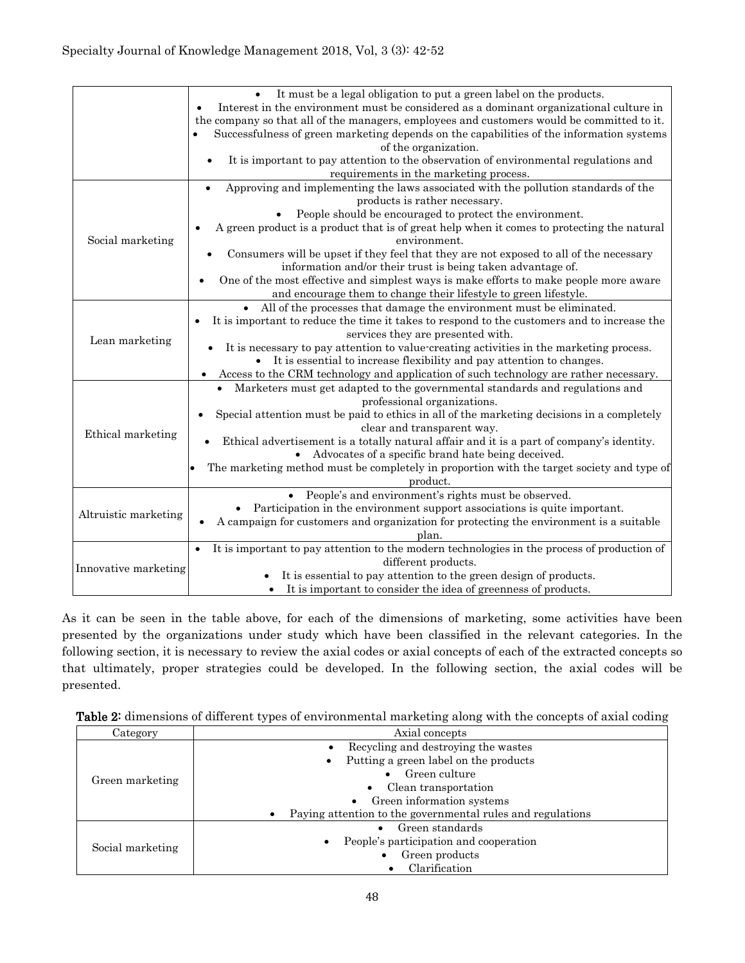|                      | It must be a legal obligation to put a green label on the products.                                      |
|----------------------|----------------------------------------------------------------------------------------------------------|
|                      | Interest in the environment must be considered as a dominant organizational culture in                   |
|                      | the company so that all of the managers, employees and customers would be committed to it.               |
|                      | Successfulness of green marketing depends on the capabilities of the information systems                 |
|                      | of the organization.                                                                                     |
|                      | It is important to pay attention to the observation of environmental regulations and                     |
|                      | requirements in the marketing process.                                                                   |
|                      | Approving and implementing the laws associated with the pollution standards of the                       |
|                      | products is rather necessary.                                                                            |
|                      | People should be encouraged to protect the environment.                                                  |
|                      | A green product is a product that is of great help when it comes to protecting the natural<br>$\bullet$  |
| Social marketing     | environment.                                                                                             |
|                      | Consumers will be upset if they feel that they are not exposed to all of the necessary                   |
|                      | information and/or their trust is being taken advantage of.                                              |
|                      | One of the most effective and simplest ways is make efforts to make people more aware                    |
|                      | and encourage them to change their lifestyle to green lifestyle.                                         |
|                      | • All of the processes that damage the environment must be eliminated.                                   |
|                      | It is important to reduce the time it takes to respond to the customers and to increase the<br>$\bullet$ |
| Lean marketing       | services they are presented with.                                                                        |
|                      | It is necessary to pay attention to value-creating activities in the marketing process.                  |
|                      | It is essential to increase flexibility and pay attention to changes.<br>$\bullet$                       |
|                      | Access to the CRM technology and application of such technology are rather necessary.<br>$\bullet$       |
|                      | Marketers must get adapted to the governmental standards and regulations and                             |
|                      | professional organizations.                                                                              |
|                      | Special attention must be paid to ethics in all of the marketing decisions in a completely               |
| Ethical marketing    | clear and transparent way.                                                                               |
|                      | Ethical advertisement is a totally natural affair and it is a part of company's identity.                |
|                      | Advocates of a specific brand hate being deceived.                                                       |
|                      | The marketing method must be completely in proportion with the target society and type of                |
|                      | product.                                                                                                 |
|                      | People's and environment's rights must be observed.                                                      |
| Altruistic marketing | Participation in the environment support associations is quite important.                                |
|                      | A campaign for customers and organization for protecting the environment is a suitable                   |
|                      | plan.                                                                                                    |
|                      | It is important to pay attention to the modern technologies in the process of production of<br>$\bullet$ |
| Innovative marketing | different products.                                                                                      |
|                      | It is essential to pay attention to the green design of products.                                        |
|                      | It is important to consider the idea of greenness of products.                                           |

As it can be seen in the table above, for each of the dimensions of marketing, some activities have been presented by the organizations under study which have been classified in the relevant categories. In the following section, it is necessary to review the axial codes or axial concepts of each of the extracted concepts so that ultimately, proper strategies could be developed. In the following section, the axial codes will be presented.

| Table 2: dimensions of different types of environmental marketing along with the concepts of axial coding |  |  |
|-----------------------------------------------------------------------------------------------------------|--|--|
|-----------------------------------------------------------------------------------------------------------|--|--|

| Category         | Axial concepts                                                          |  |  |  |
|------------------|-------------------------------------------------------------------------|--|--|--|
|                  | Recycling and destroying the wastes                                     |  |  |  |
| Green marketing  | Putting a green label on the products                                   |  |  |  |
|                  | Green culture                                                           |  |  |  |
|                  | Clean transportation                                                    |  |  |  |
|                  | Green information systems                                               |  |  |  |
|                  | Paying attention to the governmental rules and regulations<br>$\bullet$ |  |  |  |
| Social marketing | Green standards                                                         |  |  |  |
|                  | People's participation and cooperation<br>$\bullet$                     |  |  |  |
|                  | Green products                                                          |  |  |  |
|                  | Clarification                                                           |  |  |  |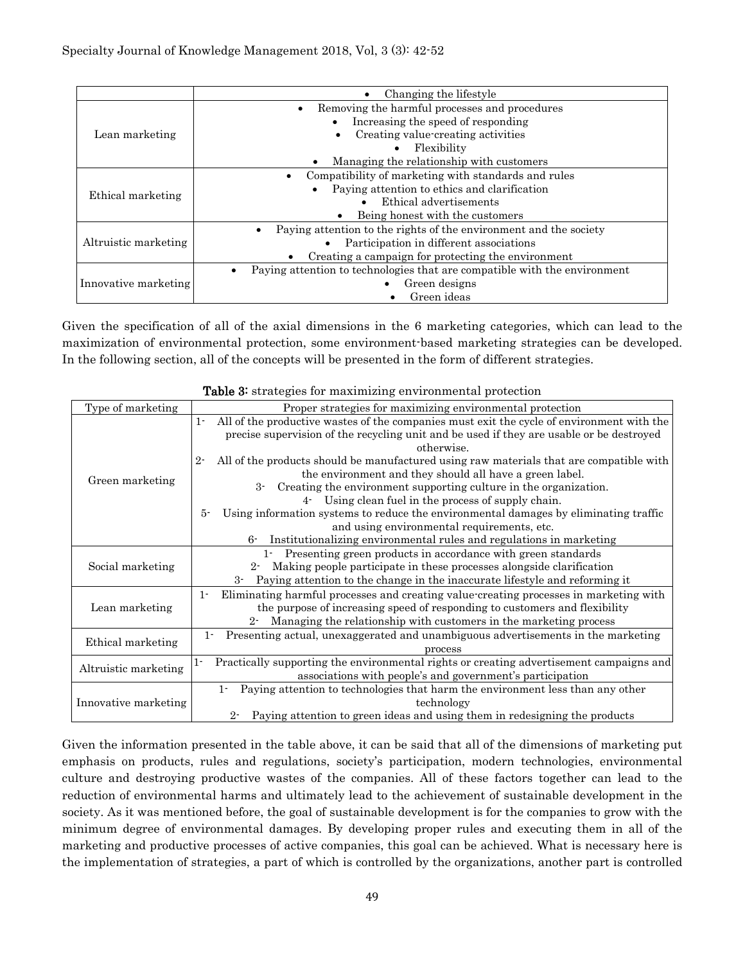|                      | Changing the lifestyle<br>$\bullet$                                            |  |  |  |
|----------------------|--------------------------------------------------------------------------------|--|--|--|
|                      | Removing the harmful processes and procedures<br>$\bullet$                     |  |  |  |
| Lean marketing       | Increasing the speed of responding                                             |  |  |  |
|                      | Creating value-creating activities                                             |  |  |  |
|                      | Flexibility                                                                    |  |  |  |
|                      | Managing the relationship with customers                                       |  |  |  |
| Ethical marketing    | Compatibility of marketing with standards and rules                            |  |  |  |
|                      | Paying attention to ethics and clarification                                   |  |  |  |
|                      | Ethical advertisements                                                         |  |  |  |
|                      | Being honest with the customers                                                |  |  |  |
|                      | Paying attention to the rights of the environment and the society              |  |  |  |
| Altruistic marketing | Participation in different associations                                        |  |  |  |
|                      | Creating a campaign for protecting the environment                             |  |  |  |
|                      | Paying attention to technologies that are compatible with the environment<br>٠ |  |  |  |
| Innovative marketing | Green designs                                                                  |  |  |  |
|                      | Green ideas                                                                    |  |  |  |

Given the specification of all of the axial dimensions in the 6 marketing categories, which can lead to the maximization of environmental protection, some environment-based marketing strategies can be developed. In the following section, all of the concepts will be presented in the form of different strategies.

|                      | strategies for maximizing characteristical protection                                                                                                                                                        |  |  |  |  |
|----------------------|--------------------------------------------------------------------------------------------------------------------------------------------------------------------------------------------------------------|--|--|--|--|
| Type of marketing    | Proper strategies for maximizing environmental protection                                                                                                                                                    |  |  |  |  |
|                      | All of the productive wastes of the companies must exit the cycle of environment with the<br>$1 -$<br>precise supervision of the recycling unit and be used if they are usable or be destroyed<br>otherwise. |  |  |  |  |
| Green marketing      | All of the products should be manufactured using raw materials that are compatible with<br>$2 -$<br>the environment and they should all have a green label.                                                  |  |  |  |  |
|                      | Creating the environment supporting culture in the organization.<br>3-                                                                                                                                       |  |  |  |  |
|                      | Using clean fuel in the process of supply chain.<br>$4-$                                                                                                                                                     |  |  |  |  |
|                      | Using information systems to reduce the environmental damages by eliminating traffic<br>$5 -$                                                                                                                |  |  |  |  |
|                      | and using environmental requirements, etc.                                                                                                                                                                   |  |  |  |  |
|                      | Institutionalizing environmental rules and regulations in marketing<br>$6-$                                                                                                                                  |  |  |  |  |
|                      | Presenting green products in accordance with green standards<br>$1 -$                                                                                                                                        |  |  |  |  |
| Social marketing     | Making people participate in these processes alongside clarification<br>$2 -$                                                                                                                                |  |  |  |  |
|                      | Paying attention to the change in the inaccurate lifestyle and reforming it<br>$3-$                                                                                                                          |  |  |  |  |
|                      | Eliminating harmful processes and creating value-creating processes in marketing with<br>$1 -$                                                                                                               |  |  |  |  |
| Lean marketing       | the purpose of increasing speed of responding to customers and flexibility                                                                                                                                   |  |  |  |  |
|                      | Managing the relationship with customers in the marketing process<br>$2 -$                                                                                                                                   |  |  |  |  |
|                      | Presenting actual, unexaggerated and unambiguous advertisements in the marketing<br>$1 -$                                                                                                                    |  |  |  |  |
| Ethical marketing    | process                                                                                                                                                                                                      |  |  |  |  |
|                      | Practically supporting the environmental rights or creating advertisement campaigns and<br>$1 -$                                                                                                             |  |  |  |  |
| Altruistic marketing | associations with people's and government's participation                                                                                                                                                    |  |  |  |  |
|                      | Paying attention to technologies that harm the environment less than any other<br>$1 -$                                                                                                                      |  |  |  |  |
| Innovative marketing | technology                                                                                                                                                                                                   |  |  |  |  |
|                      | Paying attention to green ideas and using them in redesigning the products<br>$2-$                                                                                                                           |  |  |  |  |

|  |  | Table 3: strategies for maximizing environmental protection |  |
|--|--|-------------------------------------------------------------|--|
|  |  |                                                             |  |

Given the information presented in the table above, it can be said that all of the dimensions of marketing put emphasis on products, rules and regulations, society's participation, modern technologies, environmental culture and destroying productive wastes of the companies. All of these factors together can lead to the reduction of environmental harms and ultimately lead to the achievement of sustainable development in the society. As it was mentioned before, the goal of sustainable development is for the companies to grow with the minimum degree of environmental damages. By developing proper rules and executing them in all of the marketing and productive processes of active companies, this goal can be achieved. What is necessary here is the implementation of strategies, a part of which is controlled by the organizations, another part is controlled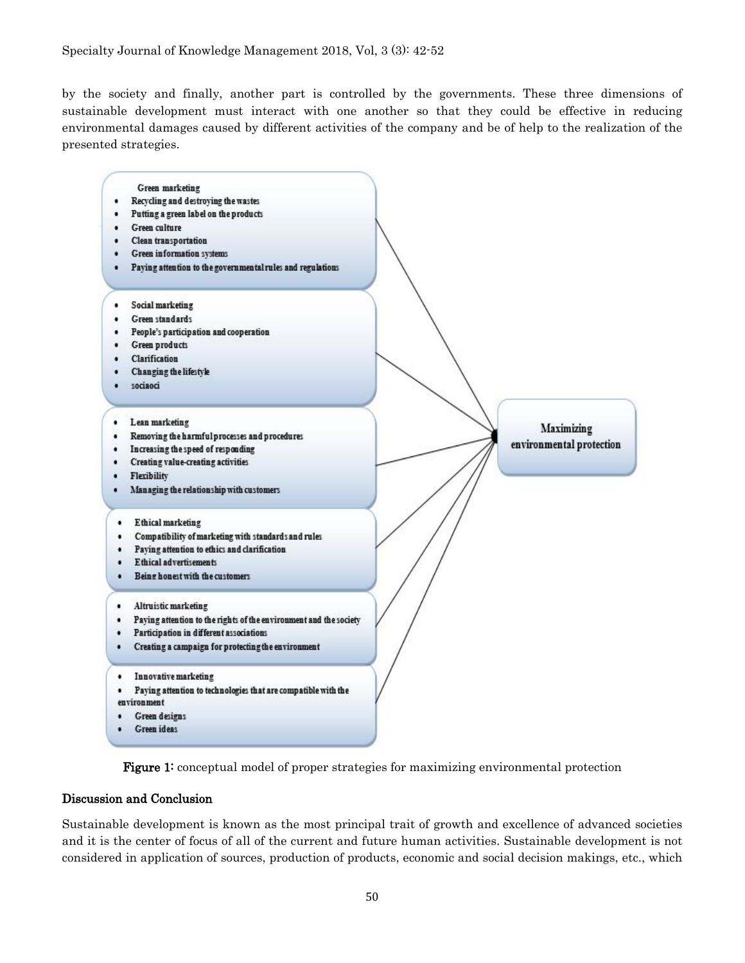by the society and finally, another part is controlled by the governments. These three dimensions of sustainable development must interact with one another so that they could be effective in reducing environmental damages caused by different activities of the company and be of help to the realization of the presented strategies.





#### Discussion and Conclusion

Sustainable development is known as the most principal trait of growth and excellence of advanced societies and it is the center of focus of all of the current and future human activities. Sustainable development is not considered in application of sources, production of products, economic and social decision makings, etc., which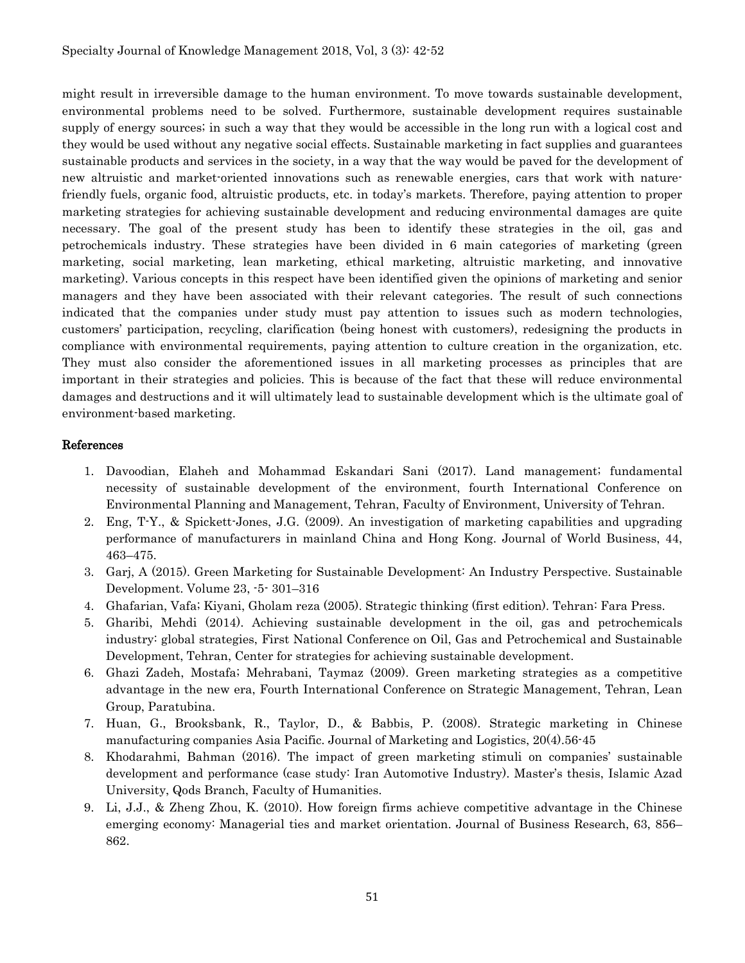might result in irreversible damage to the human environment. To move towards sustainable development, environmental problems need to be solved. Furthermore, sustainable development requires sustainable supply of energy sources; in such a way that they would be accessible in the long run with a logical cost and they would be used without any negative social effects. Sustainable marketing in fact supplies and guarantees sustainable products and services in the society, in a way that the way would be paved for the development of new altruistic and market-oriented innovations such as renewable energies, cars that work with naturefriendly fuels, organic food, altruistic products, etc. in today's markets. Therefore, paying attention to proper marketing strategies for achieving sustainable development and reducing environmental damages are quite necessary. The goal of the present study has been to identify these strategies in the oil, gas and petrochemicals industry. These strategies have been divided in 6 main categories of marketing (green marketing, social marketing, lean marketing, ethical marketing, altruistic marketing, and innovative marketing). Various concepts in this respect have been identified given the opinions of marketing and senior managers and they have been associated with their relevant categories. The result of such connections indicated that the companies under study must pay attention to issues such as modern technologies, customers' participation, recycling, clarification (being honest with customers), redesigning the products in compliance with environmental requirements, paying attention to culture creation in the organization, etc. They must also consider the aforementioned issues in all marketing processes as principles that are important in their strategies and policies. This is because of the fact that these will reduce environmental damages and destructions and it will ultimately lead to sustainable development which is the ultimate goal of environment-based marketing.

### References

- 1. Davoodian, Elaheh and Mohammad Eskandari Sani (2017). Land management; fundamental necessity of sustainable development of the environment, fourth International Conference on Environmental Planning and Management, Tehran, Faculty of Environment, University of Tehran.
- 2. Eng, T-Y., & Spickett-Jones, J.G. (2009). An investigation of marketing capabilities and upgrading performance of manufacturers in mainland China and Hong Kong. Journal of World Business, 44, 463–475.
- 3. Garj, A (2015). Green Marketing for Sustainable Development: An Industry Perspective. Sustainable Development. Volume 23, -5- 301–316
- 4. Ghafarian, Vafa; Kiyani, Gholam reza (2005). Strategic thinking (first edition). Tehran: Fara Press.
- 5. Gharibi, Mehdi (2014). Achieving sustainable development in the oil, gas and petrochemicals industry: global strategies, First National Conference on Oil, Gas and Petrochemical and Sustainable Development, Tehran, Center for strategies for achieving sustainable development.
- 6. Ghazi Zadeh, Mostafa; Mehrabani, Taymaz (2009). Green marketing strategies as a competitive advantage in the new era, Fourth International Conference on Strategic Management, Tehran, Lean Group, Paratubina.
- 7. Huan, G., Brooksbank, R., Taylor, D., & Babbis, P. (2008). Strategic marketing in Chinese manufacturing companies Asia Pacific. Journal of Marketing and Logistics, 20(4).56-45
- 8. Khodarahmi, Bahman (2016). The impact of green marketing stimuli on companies' sustainable development and performance (case study: Iran Automotive Industry). Master's thesis, Islamic Azad University, Qods Branch, Faculty of Humanities.
- 9. Li, J.J., & Zheng Zhou, K. (2010). How foreign firms achieve competitive advantage in the Chinese emerging economy: Managerial ties and market orientation. Journal of Business Research, 63, 856– 862.